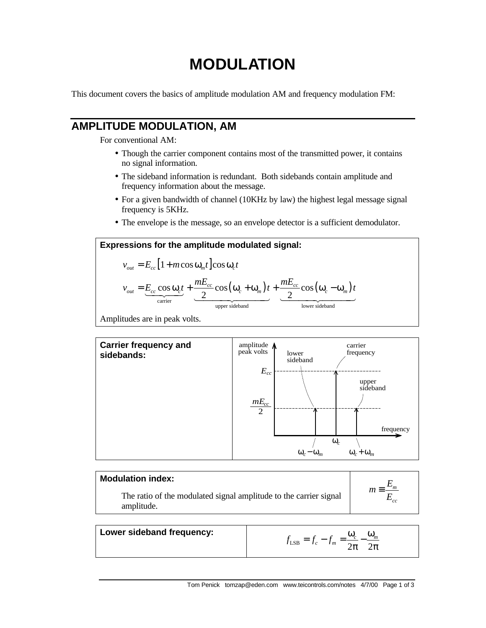# **MODULATION**

This document covers the basics of amplitude modulation AM and frequency modulation FM:

### **AMPLITUDE MODULATION, AM**

For conventional AM:

- Though the carrier component contains most of the transmitted power, it contains no signal information.
- The sideband information is redundant. Both sidebands contain amplitude and frequency information about the message.
- For a given bandwidth of channel (10KHz by law) the highest legal message signal frequency is 5KHz.
- The envelope is the message, so an envelope detector is a sufficient demodulator.

#### **Expressions for the amplitude modulated signal:**

$$
v_{out} = E_{cc} \left[ 1 + m \cos \omega_m t \right] \cos \omega_c t
$$
  

$$
v_{out} = \underbrace{E_{cc} \cos \omega_c t}_{\text{carrier}} + \underbrace{\frac{mE_{cc}}{2} \cos (\omega_c + \omega_m) t}_{\text{upper sideband}} + \underbrace{\frac{mE_{cc}}{2} \cos (\omega_c - \omega_m) t}_{\text{lower sideband}}
$$

Amplitudes are in peak volts.



| <b>Modulation index:</b>                                                        |  |
|---------------------------------------------------------------------------------|--|
| The ratio of the modulated signal amplitude to the carrier signal<br>amplitude. |  |

| Lower sideband frequency: | $J_{LSB}$<br>J m |
|---------------------------|------------------|
|---------------------------|------------------|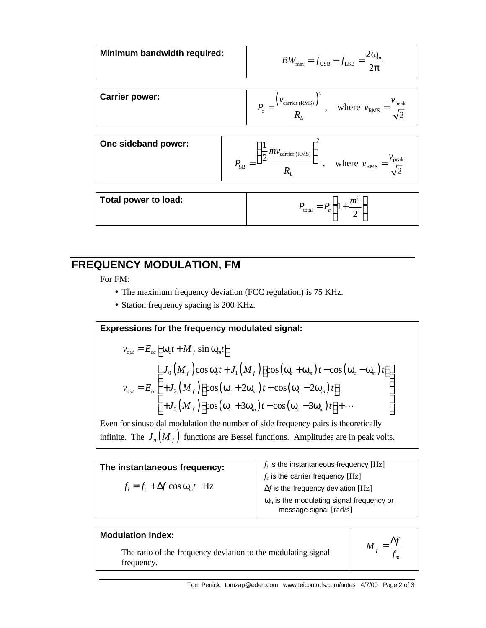| Minimum bandwidth required: | $BW_{\rm min}$<br>$f_{\text{USB}} - f_{\text{LSB}} = \frac{f}{2}$ |
|-----------------------------|-------------------------------------------------------------------|
|                             |                                                                   |

| <b>Carrier power:</b> | carrier (RMS) | peak<br>where<br>$v_{\rm RMS}$ |
|-----------------------|---------------|--------------------------------|
|                       |               |                                |

| One sideband power: | $-mv$<br>carrier (RMS) | peak<br>where $v_{RMS}$ = |
|---------------------|------------------------|---------------------------|
|                     | <b>SB</b>              |                           |

| Total power to load: | т<br>total<br>- |
|----------------------|-----------------|
|                      |                 |

## **FREQUENCY MODULATION, FM**

For FM:

- The maximum frequency deviation (FCC regulation) is 75 KHz.
- Station frequency spacing is 200 KHz.

Expressions for the frequency modulated signal:  
\n
$$
v_{out} = E_{cc} \left[ \omega_c t + M_f \sin \omega_m t \right]
$$
\n
$$
v_{out} = E_{cc} \left[ \frac{J_0 \left( M_f \right) \cos \omega_c t + J_1 \left( M_f \right) \left[ \cos \left( \omega_c + \omega_m \right) t - \cos \left( \omega_c - \omega_m \right) t \right]}{+ J_2 \left( M_f \right) \left[ \cos \left( \omega_c + 2 \omega_m \right) t + \cos \left( \omega_c - 2 \omega_m \right) t \right]}
$$
\n+  $J_3 \left( M_f \right) \left[ \cos \left( \omega_c + 3 \omega_m \right) t - \cos \left( \omega_c - 3 \omega_m \right) t \right] + \cdots$ 

Even for sinusoidal modulation the number of side frequency pairs is theoretically infinite. The  $J_n(M_f)$  functions are Bessel functions. Amplitudes are in peak volts.

| The instantaneous frequency:              | $f_i$ is the instantaneous frequency [Hz]                                                       |
|-------------------------------------------|-------------------------------------------------------------------------------------------------|
|                                           | $f_c$ is the carrier frequency [Hz]                                                             |
| $f_i = f_c + \Delta f \cos \omega_m t$ Hz | $\Delta f$ is the frequency deviation [Hz]                                                      |
|                                           | $\omega_m$ is the modulating signal frequency or<br>message signal $\lceil \text{rad/s} \rceil$ |

#### **Modulation index:**

The ratio of the frequency deviation to the modulating signal frequency.

$$
M_f \equiv \frac{\Delta f}{f_m}
$$